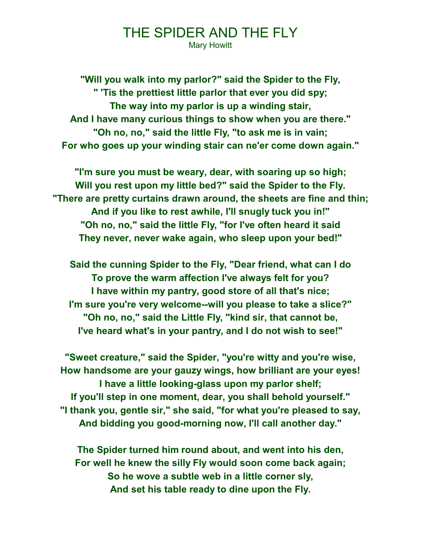## THE SPIDER AND THE FLY

Mary Howitt

**"Will you walk into my parlor?" said the Spider to the Fly, " 'Tis the prettiest little parlor that ever you did spy; The way into my parlor is up a winding stair, And I have many curious things to show when you are there." "Oh no, no," said the little Fly, "to ask me is in vain; For who goes up your winding stair can ne'er come down again."**

**"I'm sure you must be weary, dear, with soaring up so high; Will you rest upon my little bed?" said the Spider to the Fly. "There are pretty curtains drawn around, the sheets are fine and thin; And if you like to rest awhile, I'll snugly tuck you in!" "Oh no, no," said the little Fly, "for I've often heard it said They never, never wake again, who sleep upon your bed!"**

**Said the cunning Spider to the Fly, "Dear friend, what can I do To prove the warm affection I've always felt for you? I have within my pantry, good store of all that's nice; I'm sure you're very welcome--will you please to take a slice?" "Oh no, no," said the Little Fly, "kind sir, that cannot be, I've heard what's in your pantry, and I do not wish to see!"**

**"Sweet creature," said the Spider, "you're witty and you're wise, How handsome are your gauzy wings, how brilliant are your eyes! I have a little looking-glass upon my parlor shelf; If you'll step in one moment, dear, you shall behold yourself." "I thank you, gentle sir," she said, "for what you're pleased to say, And bidding you good-morning now, I'll call another day."**

**The Spider turned him round about, and went into his den, For well he knew the silly Fly would soon come back again; So he wove a subtle web in a little corner sly, And set his table ready to dine upon the Fly.**